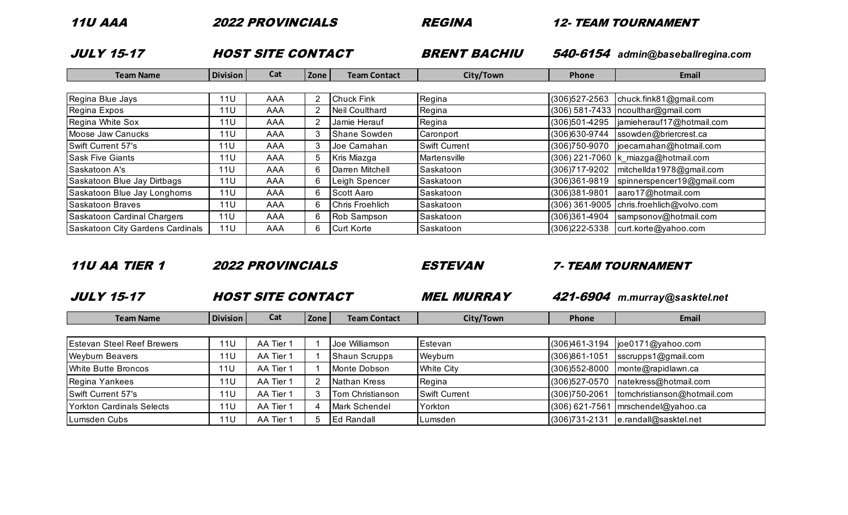| 77<br>◢ | л<br>z<br>÷<br>v |
|---------|------------------|
|---------|------------------|

2022 PROVINCIALS REGINA 12- TEAM TOURNAMENT

| <b>JULY 15-17</b>                |                 | <b>HOST SITE CONTACT</b> |              |                       | <b>BRENT BACHIU</b>  |                   | 540-6154 admin@baseballregina.com          |
|----------------------------------|-----------------|--------------------------|--------------|-----------------------|----------------------|-------------------|--------------------------------------------|
| <b>Team Name</b>                 | <b>Division</b> | Cat                      | Zone         | <b>Team Contact</b>   | City/Town            | Phone             | Email                                      |
|                                  |                 |                          |              |                       |                      |                   |                                            |
| Regina Blue Jays                 | 11U             | AAA                      |              | <b>Chuck Fink</b>     | Regina               | (306) 527-2563    | chuck.fink $81$ @gmail.com                 |
| Regina Expos                     | 11U             | AAA                      |              | <b>Neil Coulthard</b> | Regina               |                   | $(306)$ 581-7433   ncoulthar@gmail.com     |
| Regina White Sox                 | 11U             | AAA                      |              | Jamie Herauf          | Regina               | (306)501-4295     | jamieherauf17@hotmail.com                  |
| Moose Jaw Canucks                | 11U             | AAA                      |              | <b>Shane Sowden</b>   | Caronport            | (306) 630-9744    | ssowden@briercrest.ca                      |
| Swift Current 57's               | 11U             | AAA                      |              | Joe Carnahan          | <b>Swift Current</b> | (306) 750-9070    | joecarnahan@hotmail.com                    |
| <b>Sask Five Giants</b>          | 11U             | AAA                      | 5.           | Kris Miazga           | Martensville         |                   | (306) 221-7060  k_miazga@hotmail.com       |
| Saskatoon A's                    | 11U             | AAA                      | <sub>t</sub> | Darren Mitchell       | Saskatoon            | (306) 717-9202    | $ $ mitchellda1978@gmail.com               |
| Saskatoon Blue Jay Dirtbags      | 11U             | AAA                      | 6            | Leigh Spencer         | Saskatoon            | (306)361-9819     | spinnerspencer19@gmail.com                 |
| Saskatoon Blue Jay Longhorns     | 11U             | AAA                      | 6            | Scott Aaro            | Saskatoon            | (306)381-9801     | aaro17@hotmail.com                         |
| <b>Saskatoon Braves</b>          | 11U             | AAA                      | 6            | Chris Froehlich       | Saskatoon            |                   | (306) 361-9005   chris.froehlich@volvo.com |
| Saskatoon Cardinal Chargers      | 11U             | AAA                      | 6            | Rob Sampson           | Saskatoon            | (306)361-4904     | sampsonov@hotmail.com                      |
| Saskatoon City Gardens Cardinals | 11U             | AAA                      | 6            | <b>Curt Korte</b>     | Saskatoon            | $(306)222 - 5338$ | curt.korte@yahoo.com                       |

### 11U AA TIER 1 2022 PROVINCIALS ESTEVAN 7- TEAM TOURNAMENT

JULY 15-17 HOST SITE CONTACT MEL MURRAY 421-6904 *m.murray@sasktel.net*

| Team Name | <b>Division</b> | cal | Zone | າ Contaci<br>Teai | `itv<br>Town | Phone | Email |
|-----------|-----------------|-----|------|-------------------|--------------|-------|-------|

| <b>Estevan Steel Reef Brewers</b> | 11U             | AA Tier 1 | Joe Williamson       | Estevan              |                 | $(306)461-3194$  joe0171@yahoo.com     |
|-----------------------------------|-----------------|-----------|----------------------|----------------------|-----------------|----------------------------------------|
| <b>Weyburn Beavers</b>            | 11U             | AA Tier 1 | <b>Shaun Scrupps</b> | Weyburn              | (306)861-1051   | sscrupps1@gmail.com                    |
| White Butte Broncos               | 11 <sub>0</sub> | AA Tier 1 | Monte Dobson         | <b>White City</b>    | (306) 552-8000  | $ $ monte@rapidlawn.ca                 |
| Regina Yankees                    | 11 L            | AA Tier 1 | Nathan Kress         | Regina               | (306) 527-0570  | natekress@hotmail.com                  |
| Swift Current 57's                | 11 L            | AA Tier 1 | Tom Christianson     | <b>Swift Current</b> | (306) 750-2061  | tomchristianson@hotmail.com            |
| Yorkton Cardinals Selects         | 11 L            | AA Tier 1 | Mark Schendel        | Yorkton              |                 | $(306)$ 621-7561   mrschendel@yahoo.ca |
| Lumsden Cubs                      | 11L             | AA Tier 1 | <b>IEd Randall</b>   | Lumsden              | $(306)731-2131$ | e.randall@sasktel.net                  |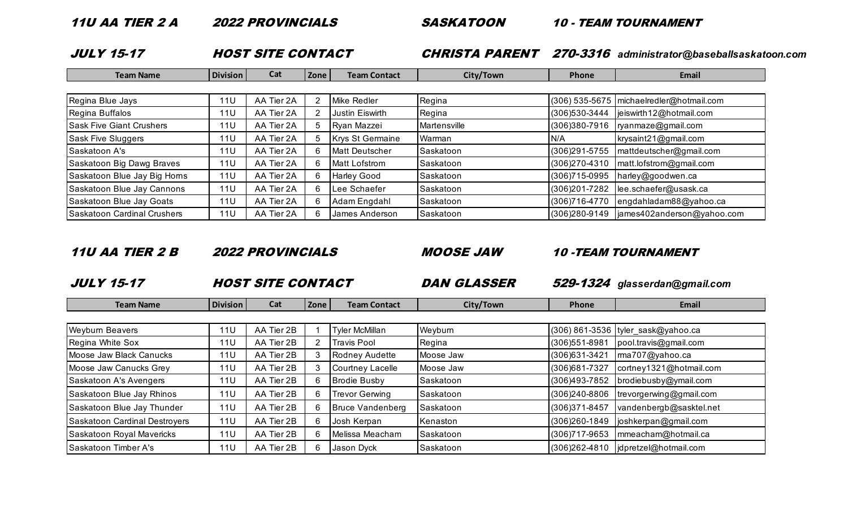JULY 15-17 HOST SITE CONTACT CHRISTA PARENT 270-3316 *administrator@baseballsaskatoon.com*

| <b>Team Name</b>                | <b>Division</b> | Cat        | <b>Zone</b> | <b>Team Contact</b>     | City/Town     | <b>Phone</b>   | Email                                      |
|---------------------------------|-----------------|------------|-------------|-------------------------|---------------|----------------|--------------------------------------------|
|                                 |                 |            |             |                         |               |                |                                            |
| Regina Blue Jays                | <b>11U</b>      | AA Tier 2A |             | Mike Redler             | Regina        |                | (306) 535-5675   michaelredler@hotmail.com |
| Regina Buffalos                 | 11U             | AA Tier 2A |             | Justin Eiswirth         | Regina        | (306) 530-3444 | jeiswirth12@hotmail.com                    |
| <b>Sask Five Giant Crushers</b> | 11 <sub>U</sub> | AA Tier 2A |             | Ryan Mazzei             | Martensville  | (306)380-7916  | ryanmaze@gmail.com                         |
| <b>Sask Five Sluggers</b>       | 11U             | AA Tier 2A |             | <b>Krys St Germaine</b> | <b>Narman</b> | N/A            | krysaint21@gmail.com                       |
| Saskatoon A's                   | <b>11U</b>      | AA Tier 2A |             | <b>Matt Deutscher</b>   | Saskatoon     | (306)291-5755  | mattdeutscher@gmail.com                    |
| Saskatoon Big Dawg Braves       | 11U             | AA Tier 2A |             | Matt Lofstrom           | Saskatoon     | (306)270-4310  | matt.lofstrom@gmail.com                    |
| Saskatoon Blue Jay Big Horns    | 11U             | AA Tier 2A |             | <b>Harley Good</b>      | Saskatoon     | (306) 715-0995 | harley@goodwen.ca                          |
| Saskatoon Blue Jay Cannons      | 11U             | AA Tier 2A |             | Lee Schaefer            | Saskatoon     | (306)201-7282  | lee.schaefer@usask.ca                      |
| Saskatoon Blue Jay Goats        | 11U             | AA Tier 2A |             | Adam Engdahl            | Saskatoon     | (306) 716-4770 | engdahladam88@yahoo.ca                     |
| Saskatoon Cardinal Crushers     | 11U             | AA Tier 2A |             | James Anderson          | Saskatoon     | (306) 280-9149 | james402anderson@yahoo.com                 |

#### 11U AA TIER 2 B 2022 PROVINCIALS MOOSE JAW 10 -TEAM TOURNAMENT

JULY 15-17 HOST SITE CONTACT DAN GLASSER 529-1324 *glasserdan@gmail.com*

| <b>Team Name</b>              | <b>Division</b> | Cat        | Zone | <b>Team Contact</b>     | City/Town | Phone           | Email                              |
|-------------------------------|-----------------|------------|------|-------------------------|-----------|-----------------|------------------------------------|
|                               |                 |            |      |                         |           |                 |                                    |
| <b>Weyburn Beavers</b>        | 11U             | AA Tier 2B |      | <b>Tyler McMillan</b>   | Weyburn   |                 | (306) 861-3536 tyler_sask@yahoo.ca |
| Regina White Sox              | 11U             | AA Tier 2B |      | Travis Pool             | Regina    | (306) 551-8981  | pool.travis@gmail.com              |
| Moose Jaw Black Canucks       | <b>11U</b>      | AA Tier 2B |      | Rodney Audette          | Moose Jaw | (306) 631-3421  | ma707@yahoo.ca                     |
| Moose Jaw Canucks Grey        | <b>11U</b>      | AA Tier 2B |      | Courtney Lacelle        | Moose Jaw | (306)681-7327   | cortney1321@hotmail.com            |
| Saskatoon A's Avengers        | 11U             | AA Tier 2B |      | <b>Brodie Busby</b>     | Saskatoon | (306)493-7852   | brodiebusby@ymail.com              |
| Saskatoon Blue Jay Rhinos     | 11U             | AA Tier 2B |      | Trevor Gerwing          | Saskatoon | (306)240-8806   | trevorgerwing@gmail.com            |
| Saskatoon Blue Jay Thunder    | <b>11U</b>      | AA Tier 2B |      | <b>Bruce Vandenberg</b> | Saskatoon | (306) 371-8457  | vandenbergb@sasktel.net            |
| Saskatoon Cardinal Destroyers | <b>11U</b>      | AA Tier 2B | 6    | Josh Kerpan             | Kenaston  | (306)260-1849   | joshkerpan@gmail.com               |
| Saskatoon Royal Mavericks     | 11U             | AA Tier 2B |      | Melissa Meacham         | Saskatoon | (306) 717-9653  | mmeacham@hotmail.ca                |
| Saskatoon Timber A's          | <b>11U</b>      | AA Tier 2B |      | Jason Dyck              | Saskatoon | $(306)262-4810$ | dpretzel@hotmail.com               |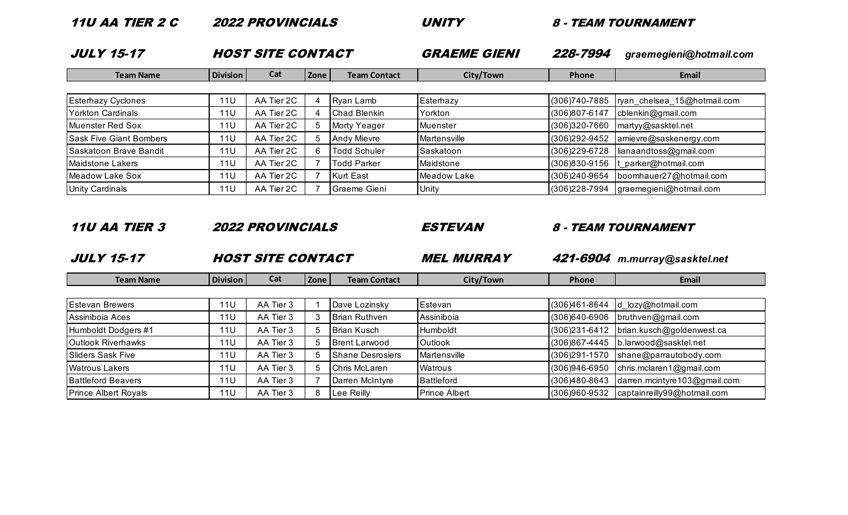| <b>JULY 15-17</b>              |                 | <b>HOST SITE CONTACT</b> |      |                     | <b>GRAEME GIENI</b> | 228-7994       | graemegieni@hotmail.com     |
|--------------------------------|-----------------|--------------------------|------|---------------------|---------------------|----------------|-----------------------------|
| <b>Team Name</b>               | <b>Division</b> | Cat                      | Zone | <b>Team Contact</b> | City/Town           | <b>Phone</b>   | Email                       |
|                                |                 |                          |      |                     |                     |                |                             |
| <b>Esterhazy Cyclones</b>      | 11U             | AA Tier 2C               |      | Ryan Lamb           | Esterhazy           | (306) 740-7885 | ryan_chelsea_15@hotmail.com |
| Yorkton Cardinals              | 11U             | AA Tier 2C               |      | Chad Blenkin        | Yorkton             | (306)807-6147  | cblenkin@gmail.com          |
| <b>IMuenster Red Sox</b>       | 11U             | AA Tier 2C               |      | Morty Yeager        | Muenster            | (306)320-7660  | martyy@sasktel.net          |
| <b>Sask Five Giant Bombers</b> | 11U             | AA Tier 2C               |      | <b>Andy Mievre</b>  | <b>Martensville</b> | (306)292-9452  | amievre@saskenergy.com      |
| Saskatoon Brave Bandit         | 11U             | AA Tier 2C               |      | <b>Todd Schuler</b> | Saskatoon           | (306)229-6728  | lianaandtoss@gmail.com      |
| Maidstone Lakers               | 11U             | AA Tier 2C               |      | <b>Todd Parker</b>  | Maidstone           | (306)830-9156  | t_parker@hotmail.com        |
| Meadow Lake Sox                | 11U             | AA Tier 2C               |      | <b>Kurt East</b>    | Meadow Lake         | (306)240-9654  | boomhauer27@hotmail.com     |
| <b>Unity Cardinals</b>         | 11U             | AA Tier 2C               |      | Graeme Gieni        | Unity               | (306)228-7994  | graemegieni@hotmail.com     |

11U AA TIER 2 C 2022 PROVINCIALS UNITY 8 - TEAM TOURNAMENT

### 11U AA TIER 3 2022 PROVINCIALS ESTEVAN 8 - TEAM TOURNAMENT

JULY 15-17 HOST SITE CONTACT MEL MURRAY 421-6904 *m.murray@sasktel.net*

| <b>Team Name</b>            | <b>Division</b> | Cat       | Zone | <b>Team Contact</b>     | City/Town            | Phone         | Email                        |
|-----------------------------|-----------------|-----------|------|-------------------------|----------------------|---------------|------------------------------|
|                             |                 |           |      |                         |                      |               |                              |
| <b>Estevan Brewers</b>      | 11 <sub>U</sub> | AA Tier 3 |      | Dave Lozinsky           | Estevan              | (306)461-8644 | d_lozy@hotmail.com           |
| Assiniboia Aces             | 11U             | AA Tier 3 |      | <b>Brian Ruthven</b>    | Assiniboia           | (306)640-6906 | bruthven@gmail.com           |
| Humboldt Dodgers #1         | 11U             | AA Tier 3 |      | <b>Brian Kusch</b>      | Humboldt             | (306)231-6412 | brian.kusch@goldenwest.ca    |
| <b>Outlook Riverhawks</b>   | 11 <sub>U</sub> | AA Tier 3 |      | <b>Brent Larwood</b>    | Outlook              | (306)867-4445 | b.larwood@sasktel.net        |
| Sliders Sask Five           | 11 <sub>U</sub> | AA Tier 3 |      | <b>Shane Desrosiers</b> | Martensville         | (306)291-1570 | shane@paramutobody.com       |
| <b>Watrous Lakers</b>       | 11U             | AA Tier 3 |      | Chris McLaren           | Watrous              | (306)946-6950 | chris.mclaren1@gmail.com     |
| <b>Battleford Beavers</b>   | 11 <sub>U</sub> | AA Tier 3 |      | Darren McIntyre         | <b>Battleford</b>    | (306)480-8643 | darren.mcintyre103@gmail.com |
| <b>Prince Albert Royals</b> | 11 <sub>U</sub> | AA Tier 3 |      | Lee Reilly              | <b>Prince Albert</b> | (306)960-9532 | captainreilly99@hotmail.com  |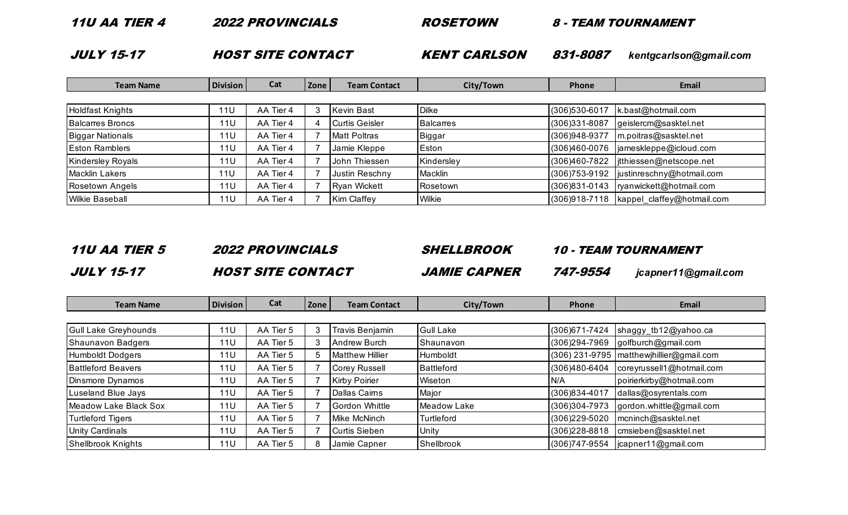| <i>11U AA TIER 4</i> | <i><b>2022 PROVINCIALS</b></i> | <i><b>ROSETOWN</b></i> |          | 8 - TEAM TOURNAMENT    |
|----------------------|--------------------------------|------------------------|----------|------------------------|
| <b>JULY 15-17</b>    | <b>HOST SITE CONTACT</b>       | <b>KENT CARLSON</b>    | 831-8087 | kentgcarlson@gmail.com |

| <b>Team Name</b>         | <b>Division</b> | Cat       | Zone | <b>Team Contact</b>   | City/Town        | Phone          | Email                      |
|--------------------------|-----------------|-----------|------|-----------------------|------------------|----------------|----------------------------|
|                          |                 |           |      |                       |                  |                |                            |
| Holdfast Knights         | <b>11U</b>      | AA Tier 4 |      | Kevin Bast            | <b>Dilke</b>     | (306)530-6017  | k.bast@hotmail.com         |
| <b>Balcarres Broncs</b>  | 11U             | AA Tier 4 |      | <b>Curtis Geisler</b> | <b>Balcarres</b> | (306)331-8087  | geislercm@sasktel.net      |
| Biggar Nationals         | 11 <sub>U</sub> | AA Tier 4 |      | <b>Matt Poltras</b>   | Biggar           | (306)948-9377  | m.poitras@sasktel.net      |
| <b>Eston Ramblers</b>    | 11U             | AA Tier 4 |      | Jamie Kleppe          | Eston            | (306)460-0076  | jameskleppe@icloud.com     |
| <b>Kindersley Royals</b> | 11U             | AA Tier 4 |      | John Thiessen         | Kindersley       | (306)460-7822  | jtthiessen@netscope.net    |
| Macklin Lakers           | 11U             | AA Tier 4 |      | Justin Reschny        | Macklin          | (306) 753-9192 | justinreschny@hotmail.com  |
| Rosetown Angels          | <b>11U</b>      | AA Tier 4 |      | Ryan Wickett          | Rosetown         | (306)831-0143  | ryanwickett@hotmail.com    |
| <b>Wilkie Baseball</b>   | 11U             | AA Tier 4 |      | Kim Claffey           | Wilkie           | (306)918-7118  | kappel claffey@hotmail.com |

# 11U AA TIER 5 2022 PROVINCIALS SHELLBROOK 10 - TEAM TOURNAMENT JULY 15-17 HOST SITE CONTACT JAMIE CAPNER 747-9554 *jcapner11@gmail.com*

| <b>Team Name</b>          | <b>Division</b> | Cat       | Zone | <b>Team Contact</b>    | City/Town         | Phone          | Email                                      |
|---------------------------|-----------------|-----------|------|------------------------|-------------------|----------------|--------------------------------------------|
|                           |                 |           |      |                        |                   |                |                                            |
| Gull Lake Greyhounds      | <b>11U</b>      | AA Tier 5 |      | Travis Benjamin        | <b>Gull Lake</b>  | (306) 671-7424 | shaggy_tb12@yahoo.ca                       |
| Shaunavon Badgers         | 11U             | AA Tier 5 |      | Andrew Burch           | Shaunavon         | (306)294-7969  | golfburch@gmail.com                        |
| Humboldt Dodgers          | 11U             | AA Tier 5 |      | <b>Matthew Hillier</b> | Humboldt          |                | (306) 231-9795   matthewjhillier@gmail.com |
| <b>Battleford Beavers</b> | 11U             | AA Tier 5 |      | Corey Russell          | <b>Battleford</b> | (306)480-6404  | coreyrussell1@hotmail.com                  |
| Dinsmore Dynamos          | <b>11U</b>      | AA Tier 5 |      | Kirby Poirier          | Wiseton           | N/A            | poirierkirby@hotmail.com                   |
| Luseland Blue Jays        | 11U             | AA Tier 5 |      | Dallas Cairns          | Major             | (306)834-4017  | dallas@osyrentals.com                      |
| Meadow Lake Black Sox     | <b>11U</b>      | AA Tier 5 |      | Gordon Whittle         | Meadow Lake       | (306)304-7973  | gordon.whittle@gmail.com                   |
| <b>Turtleford Tigers</b>  | <b>11U</b>      | AA Tier 5 |      | Mike McNinch           | Turtleford        | (306) 229-5020 | mcninch@sasktel.net                        |
| <b>Unity Cardinals</b>    | <b>11U</b>      | AA Tier 5 |      | Curtis Sieben          | Unity             | (306) 228-8818 | cmsieben@sasktel.net                       |
| Shellbrook Knights        | 11U             | AA Tier 5 | 8    | Jamie Capner           | Shellbrook        | (306) 747-9554 | jcapner11@gmail.com                        |